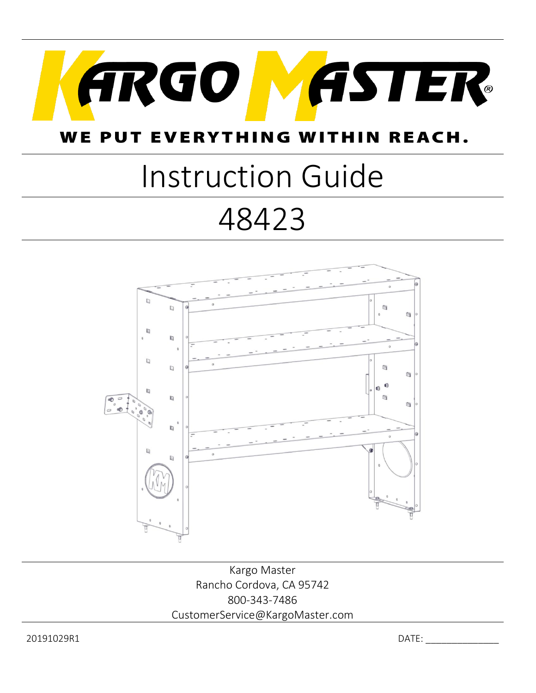

#### **WE PUT EVERYTHING WI** HIN REACH.

# Instruction Guide

## 48423



Kargo Master Rancho Cordova, CA 95742 800-343-7486 CustomerService@KargoMaster.com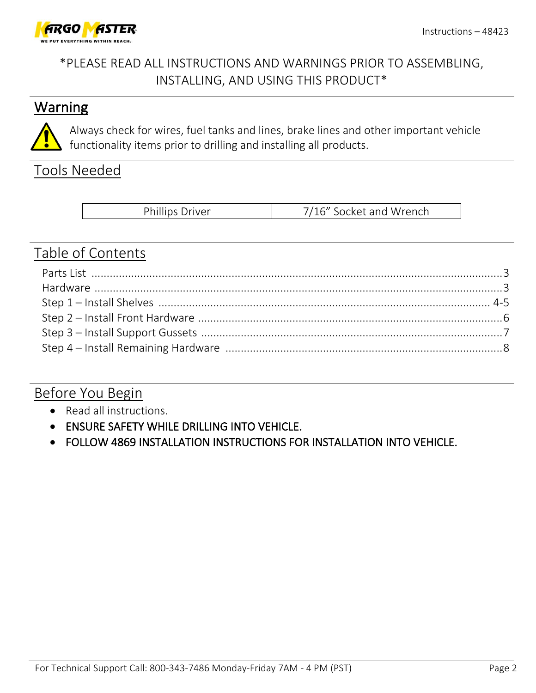

#### \*PLEASE READ ALL INSTRUCTIONS AND WARNINGS PRIOR TO ASSEMBLING, INSTALLING, AND USING THIS PRODUCT\*

#### **Warning**



Always check for wires, fuel tanks and lines, brake lines and other important vehicle functionality items prior to drilling and installing all products.

#### Tools Needed

#### Table of Contents

#### Before You Begin

- Read all instructions.
- ENSURE SAFETY WHILE DRILLING INTO VEHICLE.
- FOLLOW 4869 INSTALLATION INSTRUCTIONS FOR INSTALLATION INTO VEHICLE.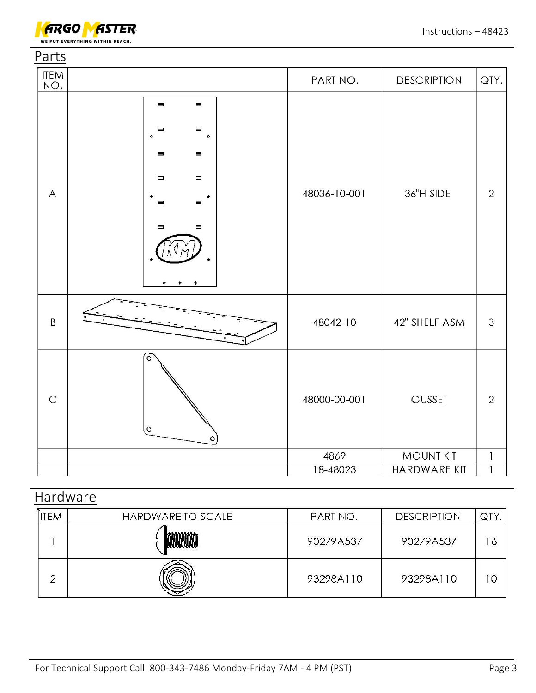

| Parts              |                                                                                                                                                                                                                                                                                                                     |              |                     |                |
|--------------------|---------------------------------------------------------------------------------------------------------------------------------------------------------------------------------------------------------------------------------------------------------------------------------------------------------------------|--------------|---------------------|----------------|
| <b>ITEM</b><br>NO. |                                                                                                                                                                                                                                                                                                                     | PART NO.     | <b>DESCRIPTION</b>  | QTY.           |
| $\overline{A}$     | $\qquad \qquad \blacksquare$<br>$\qquad \qquad \blacksquare$<br>▬<br>$\qquad \qquad \blacksquare$<br>$\circ$<br>$\bullet$<br>$\blacksquare$<br>$\blacksquare$<br>$\blacksquare$<br>$\qquad \qquad \blacksquare$<br>$\blacksquare$<br>$\blacksquare$<br>$\qquad \qquad \blacksquare$<br>$\qquad \qquad \blacksquare$ | 48036-10-001 | 36"H SIDE           | $\overline{2}$ |
| $\mathsf B$        |                                                                                                                                                                                                                                                                                                                     | 48042-10     | 42" SHELF ASM       | 3              |
| $\mathsf C$        | $\circ$<br>$\circ$<br>O                                                                                                                                                                                                                                                                                             | 48000-00-001 | <b>GUSSET</b>       | $\overline{2}$ |
|                    |                                                                                                                                                                                                                                                                                                                     | 4869         | <b>MOUNT KIT</b>    | $\mathbf{I}$   |
|                    |                                                                                                                                                                                                                                                                                                                     | 18-48023     | <b>HARDWARE KIT</b> | $\mathbf{I}$   |

### **Hardware**

| <b>ITEM</b> | HARDWARE TO SCALE | PART NO.  | <b>DESCRIPTION</b> | QTY |
|-------------|-------------------|-----------|--------------------|-----|
|             |                   | 90279A537 | 90279A537          | 16  |
| ╭           |                   | 93298A110 | 93298A110          | C   |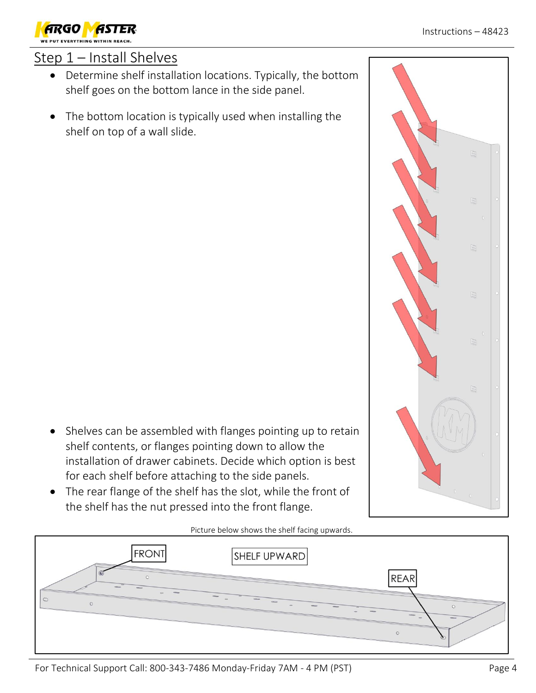

#### Step 1 – Install Shelves

- Determine shelf installation locations. Typically, the bottom shelf goes on the bottom lance in the side panel.
- The bottom location is typically used when installing the shelf on top of a wall slide.

- Shelves can be assembled with flanges pointing up to retain shelf contents, or flanges pointing down to allow the installation of drawer cabinets. Decide which option is best for each shelf before attaching to the side panels.
- The rear flange of the shelf has the slot, while the front of the shelf has the nut pressed into the front flange.

Picture below shows the shelf facing upwards.

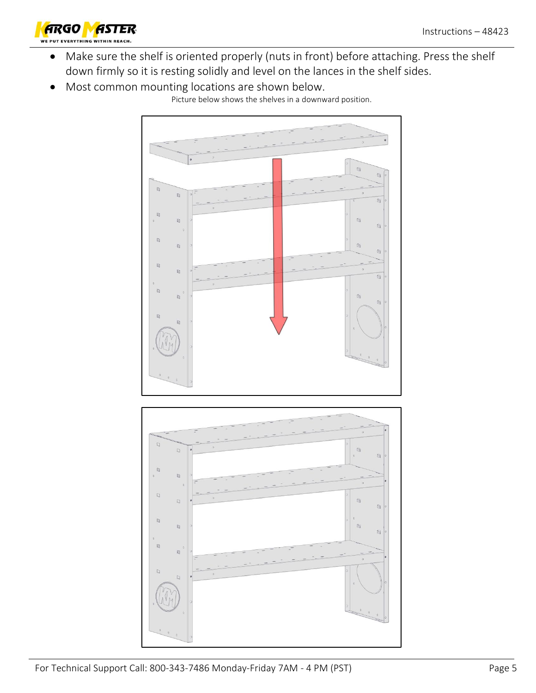

- Make sure the shelf is oriented properly (nuts in front) before attaching. Press the shelf down firmly so it is resting solidly and level on the lances in the shelf sides.
- Most common mounting locations are shown below.



Picture below shows the shelves in a downward position.

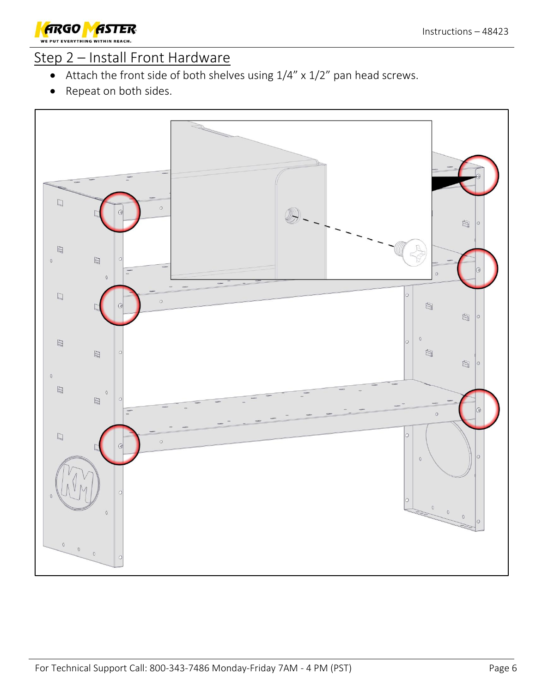

#### Step 2 – Install Front Hardware

- Attach the front side of both shelves using 1/4" x 1/2" pan head screws.
- Repeat on both sides.

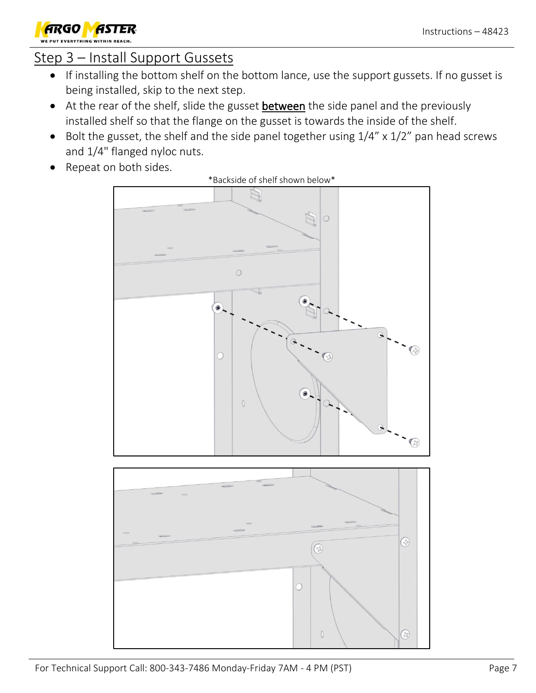

#### Step 3 – Install Support Gussets

- If installing the bottom shelf on the bottom lance, use the support gussets. If no gusset is being installed, skip to the next step.
- At the rear of the shelf, slide the gusset between the side panel and the previously installed shelf so that the flange on the gusset is towards the inside of the shelf.
- Bolt the gusset, the shelf and the side panel together using  $1/4''$  x  $1/2''$  pan head screws and 1/4" flanged nyloc nuts.
- Repeat on both sides.